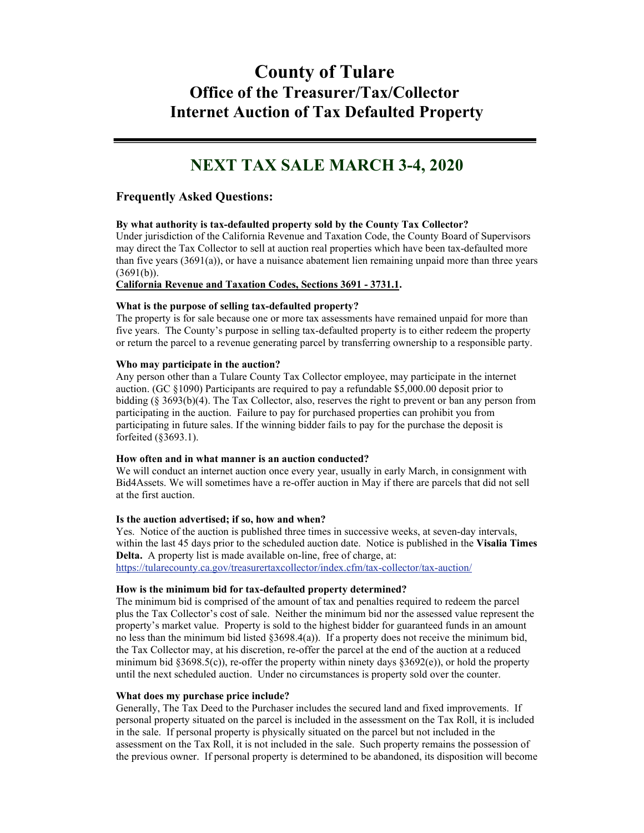# **County of Tulare Office of the Treasurer/Tax/Collector Internet Auction of Tax Defaulted Property**

# **NEXT TAX SALE MARCH 3-4, 2020**

# **Frequently Asked Questions:**

# **By what authority is tax-defaulted property sold by the County Tax Collector?**

Under jurisdiction of the California Revenue and Taxation Code, the County Board of Supervisors may direct the Tax Collector to sell at auction real properties which have been tax-defaulted more than five years  $(3691(a))$ , or have a nuisance abatement lien remaining unpaid more than three years  $(3691(b))$ .

# **[California Revenue and Taxation Codes, Sections 3691 -](http://www.leginfo.ca.gov/cgi-bin/displaycode?section=rtc&group=03001-04000&file=3691-3731.1) 3731.1.**

# **What is the purpose of selling tax-defaulted property?**

The property is for sale because one or more tax assessments have remained unpaid for more than five years. The County's purpose in selling tax-defaulted property is to either redeem the property or return the parcel to a revenue generating parcel by transferring ownership to a responsible party.

# **Who may participate in the auction?**

Any person other than a Tulare County Tax Collector employee, may participate in the internet auction. (GC §1090) Participants are required to pay a refundable \$5,000.00 deposit prior to bidding (§ 3693(b)(4). The Tax Collector, also, reserves the right to prevent or ban any person from participating in the auction. Failure to pay for purchased properties can prohibit you from participating in future sales. If the winning bidder fails to pay for the purchase the deposit is forfeited (§3693.1).

# **How often and in what manner is an auction conducted?**

We will conduct an internet auction once every year, usually in early March, in consignment with Bid4Assets. We will sometimes have a re-offer auction in May if there are parcels that did not sell at the first auction.

# **Is the auction advertised; if so, how and when?**

Yes. Notice of the auction is published three times in successive weeks, at seven-day intervals, within the last 45 days prior to the scheduled auction date. Notice is published in the **Visalia Times Delta.** A property list is made available on-line, free of charge, at: <https://tularecounty.ca.gov/treasurertaxcollector/index.cfm/tax-collector/tax-auction/>

**How is the minimum bid for tax-defaulted property determined?** The minimum bid is comprised of the amount of tax and penalties required to redeem the parcel plus the Tax Collector's cost of sale. Neither the minimum bid nor the assessed value represent the property's market value. Property is sold to the highest bidder for guaranteed funds in an amount no less than the minimum bid listed  $\S 3698.4(a)$ ). If a property does not receive the minimum bid, the Tax Collector may, at his discretion, re-offer the parcel at the end of the auction at a reduced minimum bid  $\S 3698.5(c)$ , re-offer the property within ninety days  $\S 3692(e)$ , or hold the property until the next scheduled auction. Under no circumstances is property sold over the counter.

# **What does my purchase price include?**

Generally, The Tax Deed to the Purchaser includes the secured land and fixed improvements. If personal property situated on the parcel is included in the assessment on the Tax Roll, it is included in the sale. If personal property is physically situated on the parcel but not included in the assessment on the Tax Roll, it is not included in the sale. Such property remains the possession of the previous owner. If personal property is determined to be abandoned, its disposition will become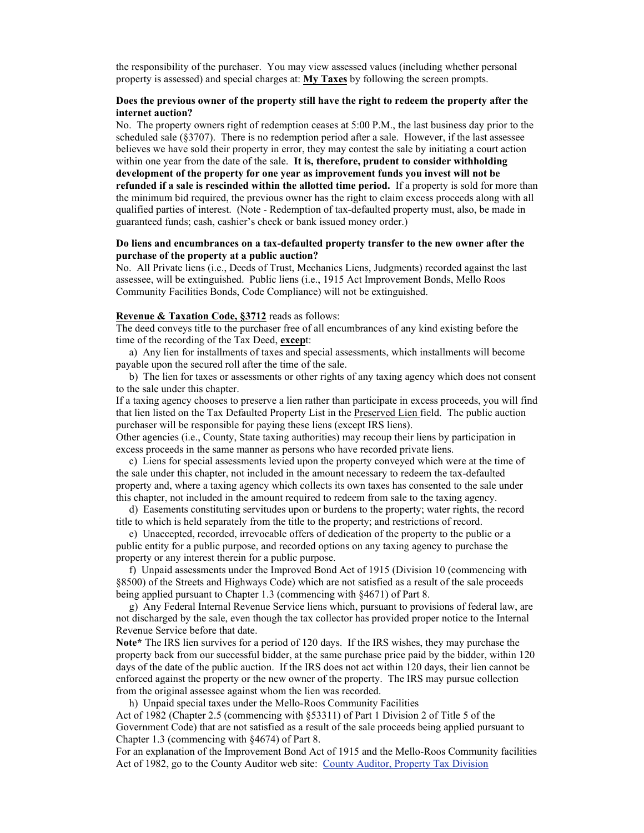the responsibility of the purchaser. You may view assessed values (including whether personal property is assessed) and special charges at: **[My Taxes](http://mytaxes.co.tulare.ca.us/)** by following the screen prompts.

# **Does the previous owner of the property still have the right to redeem the property after the internet auction?**

No. The property owners right of redemption ceases at 5:00 P.M., the last business day prior to the scheduled sale  $(\S 3707)$ . There is no redemption period after a sale. However, if the last assessee believes we have sold their property in error, they may contest the sale by initiating a court action within one year from the date of the sale. **It is, therefore, prudent to consider withholding development of the property for one year as improvement funds you invest will not be refunded if a sale is rescinded within the allotted time period.** If a property is sold for more than the minimum bid required, the previous owner has the right to claim excess proceeds along with all qualified parties of interest. (Note - Redemption of tax-defaulted property must, also, be made in guaranteed funds; cash, cashier's check or bank issued money order.)

### **Do liens and encumbrances on a tax-defaulted property transfer to the new owner after the purchase of the property at a public auction?**

No.All Private liens (i.e., Deeds of Trust, Mechanics Liens, Judgments) recorded against the last assessee, will be extinguished. Public liens (i.e., 1915 Act Improvement Bonds, Mello Roos Community Facilities Bonds, Code Compliance) will not be extinguished.

#### **Revenue & Taxation Code, §3712** reads as follows:

The deed conveys title to the purchaser free of all encumbrances of any kind existing before the time of the recording of the Tax Deed, **excep**t:

 a) Any lien for installments of taxes and special assessments, which installments will become payable upon the secured roll after the time of the sale.

 b) The lien for taxes or assessments or other rights of any taxing agency which does not consent to the sale under this chapter.

If a taxing agency chooses to preserve a lien rather than participate in excess proceeds, you will find that lien listed on the Tax Defaulted Property List in the Preserved Lien field. The public auction purchaser will be responsible for paying these liens (except IRS liens).

Other agencies (i.e., County, State taxing authorities) may recoup their liens by participation in excess proceeds in the same manner as persons who have recorded private liens.

 c) Liens for special assessments levied upon the property conveyed which were at the time of the sale under this chapter, not included in the amount necessary to redeem the tax-defaulted property and, where a taxing agency which collects its own taxes has consented to the sale under this chapter, not included in the amount required to redeem from sale to the taxing agency.

 d) Easements constituting servitudes upon or burdens to the property; water rights, the record title to which is held separately from the title to the property; and restrictions of record.

 e) Unaccepted, recorded, irrevocable offers of dedication of the property to the public or a public entity for a public purpose, and recorded options on any taxing agency to purchase the property or any interest therein for a public purpose.

 f) Unpaid assessments under the Improved Bond Act of 1915 (Division 10 (commencing with §8500) of the Streets and Highways Code) which are not satisfied as a result of the sale proceeds being applied pursuant to Chapter 1.3 (commencing with §4671) of Part 8.

 g) Any Federal Internal Revenue Service liens which, pursuant to provisions of federal law, are not discharged by the sale, even though the tax collector has provided proper notice to the Internal Revenue Service before that date.

**Note\*** The IRS lien survives for a period of 120 days. If the IRS wishes, they may purchase the property back from our successful bidder, at the same purchase price paid by the bidder, within 120 days of the date of the public auction. If the IRS does not act within 120 days, their lien cannot be enforced against the property or the new owner of the property. The IRS may pursue collection from the original assessee against whom the lien was recorded.

h) Unpaid special taxes under the Mello-Roos Community Facilities

Act of 1982 (Chapter 2.5 (commencing with §53311) of Part 1 Division 2 of Title 5 of the Government Code) that are not satisfied as a result of the sale proceeds being applied pursuant to Chapter 1.3 (commencing with §4674) of Part 8.

For an explanation of the Improvement Bond Act of 1915 and the Mello-Roos Community facilities Act of 1982, go to the County Auditor web site: [County Auditor, Property Tax Division](http://tularecounty.ca.gov/treasurertaxcollector/index.cfm/property-tax-accounting/)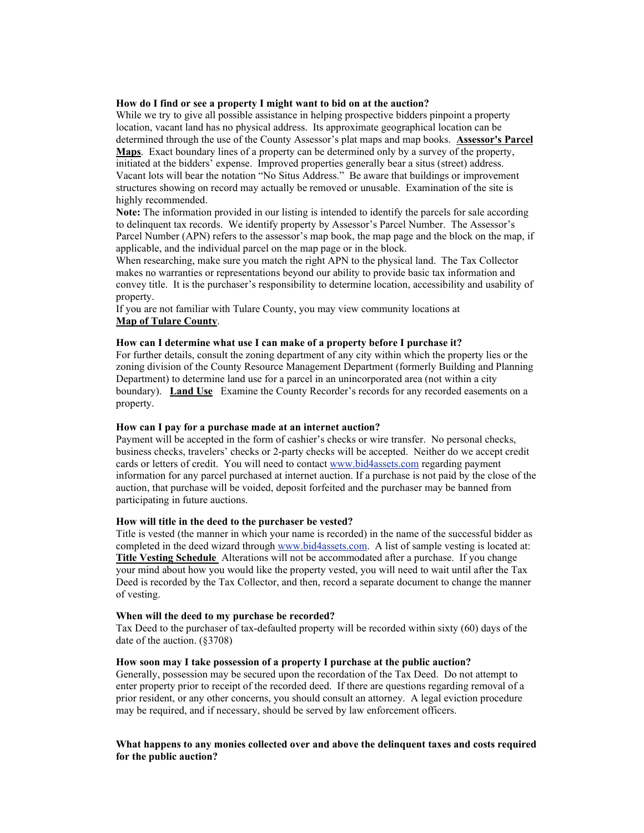# **How do I find or see a property I might want to bid on at the auction?**

While we try to give all possible assistance in helping prospective bidders pinpoint a property location, vacant land has no physical address. Its approximate geographical location can be determined through the use of the County Assessor's plat maps and map books. **[Assessor's Parcel](http://maps.tularecounty.ca.gov/InteractiveMaps/maphome.html)  [Maps](http://maps.tularecounty.ca.gov/InteractiveMaps/maphome.html)**. Exact boundary lines of a property can be determined only by a survey of the property, initiated at the bidders' expense. Improved properties generally bear a situs (street) address. Vacant lots will bear the notation "No Situs Address." Be aware that buildings or improvement structures showing on record may actually be removed or unusable. Examination of the site is highly recommended.

**Note:** The information provided in our listing is intended to identify the parcels for sale according to delinquent tax records. We identify property by Assessor's Parcel Number. The Assessor's Parcel Number (APN) refers to the assessor's map book, the map page and the block on the map, if applicable, and the individual parcel on the map page or in the block.

When researching, make sure you match the right APN to the physical land. The Tax Collector makes no warranties or representations beyond our ability to provide basic tax information and convey title. It is the purchaser's responsibility to determine location, accessibility and usability of property.

If you are not familiar with Tulare County, you may view community locations at **[Map of Tulare County](http://www/about/img/map_tulare_county_signature.jpg)**.

# **How can I determine what use I can make of a property before I purchase it?**

For further details, consult the zoning department of any city within which the property lies or the zoning division of the County Resource Management Department (formerly Building and Planning Department) to determine land use for a parcel in an unincorporated area (not within a city boundary). **[Land Use](http://tularecounty.ca.gov/rma/index.cfm/documents-and-forms/planning-documents/tulare-county-zoning-ordinance/?startRow=1&nextNID=1C400D60-09B9-8AB3-443784805BA88987)** Examine the County Recorder's records for any recorded easements on a property.

# **How can I pay for a purchase made at an internet auction?**

Payment will be accepted in the form of cashier's checks or wire transfer. No personal checks, business checks, travelers' checks or 2-party checks will be accepted. Neither do we accept credit cards or letters of credit. You will need to contac[t www.bid4assets.com](http://www.bid4assets.com/) regarding payment information for any parcel purchased at internet auction. If a purchase is not paid by the close of the auction, that purchase will be voided, deposit forfeited and the purchaser may be banned from participating in future auctions.

#### **How will title in the deed to the purchaser be vested?**

Title is vested (the manner in which your name is recorded) in the name of the successful bidder as completed in the deed wizard through [www.bid4assets.com.](http://www.bid4assets.com/) A list of sample vesting is located at: **[Title Vesting Schedule](http://www.sdttc.com/docs/titlevesting.pdf)** Alterations will not be accommodated after a purchase. If you change your mind about how you would like the property vested, you will need to wait until after the Tax Deed is recorded by the Tax Collector, and then, record a separate document to change the manner of vesting.

#### **When will the deed to my purchase be recorded?**

Tax Deed to the purchaser of tax-defaulted property will be recorded within sixty (60) days of the date of the auction. (§3708)

# **How soon may I take possession of a property I purchase at the public auction?**

Generally, possession may be secured upon the recordation of the Tax Deed. Do not attempt to enter property prior to receipt of the recorded deed. If there are questions regarding removal of a prior resident, or any other concerns, you should consult an attorney. A legal eviction procedure may be required, and if necessary, should be served by law enforcement officers.

# **What happens to any monies collected over and above the delinquent taxes and costs required for the public auction?**